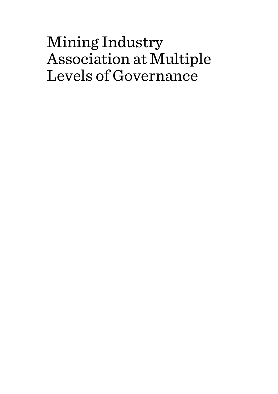# Mining Industry Association at Multiple Levels of Governance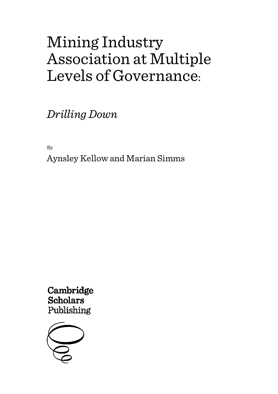# Mining Industry Association at Multiple Levels of Governance:

*Drilling Down*

By

Aynsley Kellow and Marian Simms

Cambridge **Scholars** Publishing

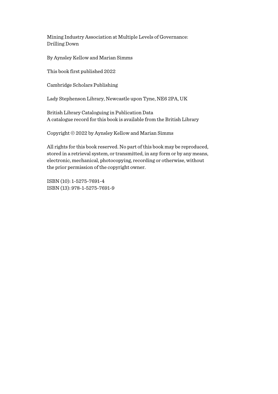Mining Industry Association at Multiple Levels of Governance: Drilling Down

By Aynsley Kellow and Marian Simms

This book first published 2022

Cambridge Scholars Publishing

Lady Stephenson Library, Newcastle upon Tyne, NE6 2PA, UK

British Library Cataloguing in Publication Data A catalogue record for this book is available from the British Library

Copyright © 2022 by Aynsley Kellow and Marian Simms

All rights for this book reserved. No part of this book may be reproduced, stored in a retrieval system, or transmitted, in any form or by any means, electronic, mechanical, photocopying, recording or otherwise, without the prior permission of the copyright owner.

ISBN (10): 1-5275-7691-4 ISBN (13): 978-1-5275-7691-9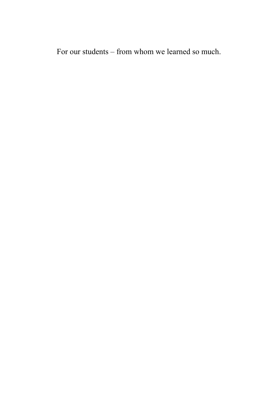For our students – from whom we learned so much.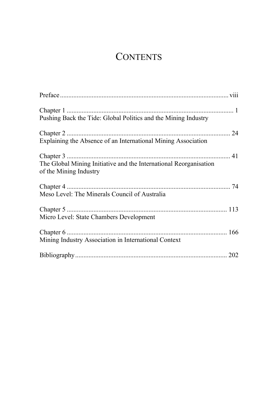# **CONTENTS**

| Pushing Back the Tide: Global Politics and the Mining Industry                              |
|---------------------------------------------------------------------------------------------|
| Explaining the Absence of an International Mining Association                               |
| The Global Mining Initiative and the International Reorganisation<br>of the Mining Industry |
| Meso Level: The Minerals Council of Australia                                               |
| Micro Level: State Chambers Development                                                     |
| Mining Industry Association in International Context                                        |
|                                                                                             |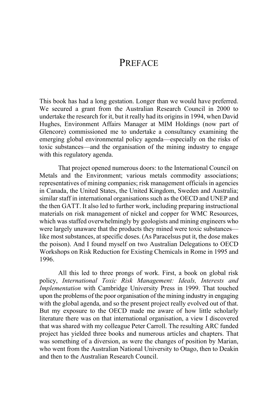# **PREFACE**

This book has had a long gestation. Longer than we would have preferred. We secured a grant from the Australian Research Council in 2000 to undertake the research for it, but it really had its origins in 1994, when David Hughes, Environment Affairs Manager at MIM Holdings (now part of Glencore) commissioned me to undertake a consultancy examining the emerging global environmental policy agenda—especially on the risks of toxic substances—and the organisation of the mining industry to engage with this regulatory agenda.

That project opened numerous doors: to the International Council on Metals and the Environment; various metals commodity associations; representatives of mining companies; risk management officials in agencies in Canada, the United States, the United Kingdom, Sweden and Australia; similar staff in international organisations such as the OECD and UNEP and the then GATT. It also led to further work, including preparing instructional materials on risk management of nickel and copper for WMC Resources, which was staffed overwhelmingly by geologists and mining engineers who were largely unaware that the products they mined were toxic substances like most substances, at specific doses. (As Paracelsus put it, the dose makes the poison). And I found myself on two Australian Delegations to OECD Workshops on Risk Reduction for Existing Chemicals in Rome in 1995 and 1996.

All this led to three prongs of work. First, a book on global risk policy, *International Toxic Risk Management: Ideals, Interests and Implementation* with Cambridge University Press in 1999. That touched upon the problems of the poor organisation of the mining industry in engaging with the global agenda, and so the present project really evolved out of that. But my exposure to the OECD made me aware of how little scholarly literature there was on that international organisation, a view I discovered that was shared with my colleague Peter Carroll. The resulting ARC funded project has yielded three books and numerous articles and chapters. That was something of a diversion, as were the changes of position by Marian, who went from the Australian National University to Otago, then to Deakin and then to the Australian Research Council.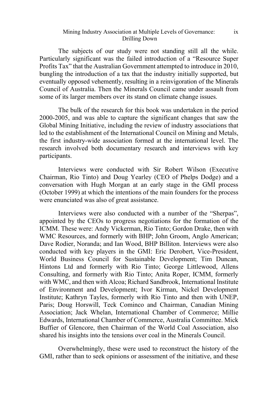## Mining Industry Association at Multiple Levels of Governance: Drilling Down

The subjects of our study were not standing still all the while. Particularly significant was the failed introduction of a "Resource Super Profits Tax" that the Australian Government attempted to introduce in 2010, bungling the introduction of a tax that the industry initially supported, but eventually opposed vehemently, resulting in a reinvigoration of the Minerals Council of Australia. Then the Minerals Council came under assault from some of its larger members over its stand on climate change issues.

The bulk of the research for this book was undertaken in the period 2000-2005, and was able to capture the significant changes that saw the Global Mining Initiative, including the review of industry associations that led to the establishment of the International Council on Mining and Metals, the first industry-wide association formed at the international level. The research involved both documentary research and interviews with key participants.

Interviews were conducted with Sir Robert Wilson (Executive Chairman, Rio Tinto) and Doug Yearley (CEO of Phelps Dodge) and a conversation with Hugh Morgan at an early stage in the GMI process (October 1999) at which the intentions of the main founders for the process were enunciated was also of great assistance.

Interviews were also conducted with a number of the "Sherpas", appointed by the CEOs to progress negotiations for the formation of the ICMM. These were: Andy Vickerman, Rio Tinto; Gordon Drake, then with WMC Resources, and formerly with BHP; John Groom, Anglo American; Dave Rodier, Noranda; and Ian Wood, BHP Billiton. Interviews were also conducted with key players in the GMI: Eric Derobert, Vice-President, World Business Council for Sustainable Development; Tim Duncan, Hintons Ltd and formerly with Rio Tinto; George Littlewood, Allens Consulting, and formerly with Rio Tinto; Anita Roper, ICMM, formerly with WMC, and then with Alcoa; Richard Sandbrook, International Institute of Environment and Development; Ivor Kirman, Nickel Development Institute; Kathryn Tayles, formerly with Rio Tinto and then with UNEP, Paris; Doug Horswill, Teck Cominco and Chairman, Canadian Mining Association; Jack Whelan, International Chamber of Commerce; Millie Edwards, International Chamber of Commerce, Australia Committee. Mick Buffier of Glencore, then Chairman of the World Coal Association, also shared his insights into the tensions over coal in the Minerals Council.

Overwhelmingly, these were used to reconstruct the history of the GMI, rather than to seek opinions or assessment of the initiative, and these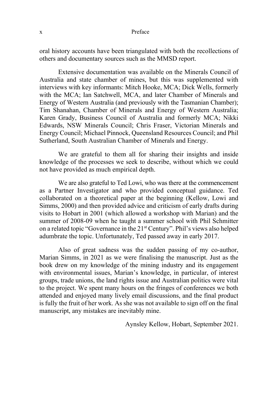oral history accounts have been triangulated with both the recollections of others and documentary sources such as the MMSD report.

Extensive documentation was available on the Minerals Council of Australia and state chamber of mines, but this was supplemented with interviews with key informants: Mitch Hooke, MCA; Dick Wells, formerly with the MCA; Ian Satchwell, MCA, and later Chamber of Minerals and Energy of Western Australia (and previously with the Tasmanian Chamber); Tim Shanahan, Chamber of Minerals and Energy of Western Australia; Karen Grady, Business Council of Australia and formerly MCA; Nikki Edwards, NSW Minerals Council; Chris Fraser, Victorian Minerals and Energy Council; Michael Pinnock, Queensland Resources Council; and Phil Sutherland, South Australian Chamber of Minerals and Energy.

We are grateful to them all for sharing their insights and inside knowledge of the processes we seek to describe, without which we could not have provided as much empirical depth.

We are also grateful to Ted Lowi, who was there at the commencement as a Partner Investigator and who provided conceptual guidance. Ted collaborated on a theoretical paper at the beginning (Kellow, Lowi and Simms, 2000) and then provided advice and criticism of early drafts during visits to Hobart in 2001 (which allowed a workshop with Marian) and the summer of 2008-09 when he taught a summer school with Phil Schmitter on a related topic "Governance in the 21st Century". Phil's views also helped adumbrate the topic. Unfortunately, Ted passed away in early 2017.

Also of great sadness was the sudden passing of my co-author, Marian Simms, in 2021 as we were finalising the manuscript. Just as the book drew on my knowledge of the mining industry and its engagement with environmental issues, Marian's knowledge, in particular, of interest groups, trade unions, the land rights issue and Australian politics were vital to the project. We spent many hours on the fringes of conferences we both attended and enjoyed many lively email discussions, and the final product is fully the fruit of her work. As she was not available to sign off on the final manuscript, any mistakes are inevitably mine.

Aynsley Kellow, Hobart, September 2021.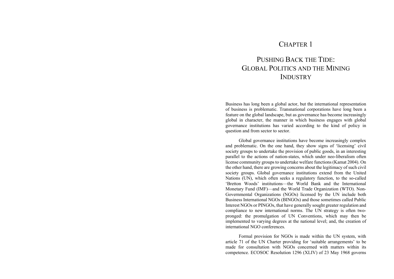# CHAPTER 1

# PUSHING BACK THE TIDE. GLOBAL POLITICS AND THE MINING **INDUSTRY**

Business has long been a global actor, but the international representation of business is problematic. Transnational corporations have long been a feature on the global landscape, but as governance has become increasingly global in character, the manner in which business engages with global governance institutions has varied according to the kind of policy in question and from sector to sector.

Global governance institutions have become increasingly complex and problematic. On the one hand, they show signs of 'licensing' civil society groups to undertake the provision of public goods, in an interesting parallel to the actions of nation-states, which under neo-liberalism often license community groups to undertake welfare functions (Kamat 2004). On the other hand, there are growing concerns about the legitimacy of such civil society groups. Global governance institutions extend from the United Nations (UN), which often seeks a regulatory function, to the so-called 'Bretton Woods' institutions—the World Bank and the International Monetary Fund (IMF)—and the World Trade Organization (WTO). Non-Governmental Organizations (NGOs) licensed by the UN include both Business International NGOs (BINGOs) and those sometimes called Public Interest NGOs or PINGOs, that have generally sought greater regulation and compliance to new international norms. The UN strategy is often twopronged: the promulgation of UN Conventions, which may then be implemented to varying degrees at the national level; and, the creation of international NGO conferences.

Formal provision for NGOs is made within the UN system, with article 71 of the UN Charter providing for 'suitable arrangements' to be made for consultation with NGOs concerned with matters within its competence. ECOSOC Resolution 1296 (XLIV) of 23 May 1968 governs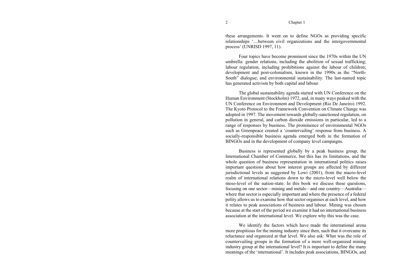these arrangements. It went on to define NGOs as providing specific relationships '....between civil organizations and the intergovernmental process' (UNRISD 1997, 11).

Four topics have become prominent since the 1970s within the UN umbrella: gender relations, including the abolition of sexual trafficking; labour regulation, including prohibitions against the labour of children; development and post-colonialism, known in the 1990s as the "North-South" dialogue; and environmental sustainability. The last-named topic has generated activism by both capital and labour.

The global sustainability agenda started with UN Conference on the Human Environment (Stockholm) 1972, and, in many ways peaked with the UN Conference on Environment and Development (Rio De Janeiro) 1992. The Kyoto Protocol to the Framework Convention on Climate Change was adopted in 1997. The movement towards globally-sanctioned regulation, on pollution in general, and carbon dioxide emissions in particular, led to a range of responses by business. The prominence of environmental NGOs such as Greenpeace created a 'countervailing' response from business. A socially-responsible business agenda emerged both in the formation of BINGOs and in the development of company level campaigns.

Business is represented globally by a peak business group, the International Chamber of Commerce, but this has its limitations, and the whole question of business representation in international politics raises important questions about how interest groups are affected by different jurisdictional levels as suggested by Lowi (2001), from the macro-level realm of international relations down to the micro-level well below the meso-level of the nation-state. In this book we discuss these questions, focusing on one sector—mining and metals—and one country—Australia where that sector is especially important and where the presence of a federal polity allows us to examine how that sector organises at each level, and how it relates to peak associations of business and labour. Mining was chosen because at the start of the period we examine it had no international business association at the international level. We explore why this was the case.

We identify the factors which have made the international arena more propitious for the mining industry since then, such that it overcame its reluctance and organized at that level. We also ask: What was the role of countervailing groups in the formation of a more well-organized mining industry group at the international level? It is important to define the many meanings of the 'international'. It includes peak associations, BINGOs, and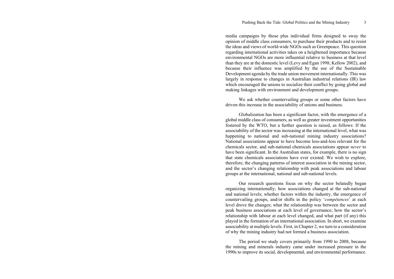media campaigns by those plus individual firms designed to sway the opinion of middle class consumers, to purchase their products and to resist the ideas and views of world-wide NGOs such as Greenpeace. This question regarding international activities takes on a heightened importance because environmental NGOs are more influential relative to business at that level than they are at the domestic level (Levy and Egan 1998; Kellow 2002), and because their influence was amplified by the use of the Sustainable Development agenda by the trade union movement internationally. This was largely in response to changes in Australian industrial relations (IR) law which encouraged the unions to socialize their conflict by going global and making linkages with environment and development groups.

We ask whether countervailing groups or some other factors have driven this increase in the associability of unions and business.

Globalization has been a significant factor, with the emergence of a global middle class of consumers, as well as greater investment opportunities fostered by the WTO, but a further question is raised, as follows: If the associability of the sector was increasing at the international level, what was happening to national and sub-national mining industry associations? National associations appear to have become less-and-less relevant for the chemicals sector, and sub-national chemicals associations appear *never* to have been significant. In the Australian states, for example, there is no sign that state chemicals associations have ever existed. We wish to explore, therefore, the changing patterns of interest association in the mining sector, and the sector's changing relationship with peak associations and labour groups at the international, national and sub-national levels.

Our research questions focus on why the sector belatedly began organizing internationally; how associations changed at the sub-national and national levels; whether factors within the industry, the emergence of countervailing groups, and/or shifts in the policy '*compétences*' at each level drove the changes; what the relationship was between the sector and peak business associations at each level of governance; how the sector's relationship with labour at each level changed, and what part (if any) this played in the formation of an international association. In short, we examine associability at multiple levels. First, in Chapter 2, we turn to a consideration of why the mining industry had not formed a business association.

The period we study covers primarily from 1990 to 2008, because the mining and minerals industry came under increased pressure in the 1990s to improve its social, developmental, and environmental performance.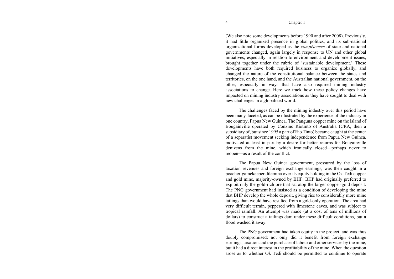(We also note some developments before 1990 and after 2008). Previously, it had little organized presence in global politics, and its sub-national organizational forms developed as the *compétences* of state and national governments changed, again largely in response to UN and other global initiatives, especially in relation to environment and development issues, brought together under the rubric of 'sustainable development.' These developments have both required business to organize globally, and changed the nature of the constitutional balance between the states and territories, on the one hand, and the Australian national government, on the other, especially in ways that have also required mining industry associations to change. Here we track how these policy changes have impacted on mining industry associations as they have sought to deal with new challenges in a globalized world.

The challenges faced by the mining industry over this period have been many-faceted, as can be illustrated by the experience of the industry in one country, Papua New Guinea. The Panguna copper mine on the island of Bougainville operated by Conzinc Riotinto of Australia (CRA, then a subsidiary of, but since 1995 a part of Rio Tinto) became caught at the center of a separatist movement seeking independence from Papua New Guinea, motivated at least in part by a desire for better returns for Bougainville denizens from the mine, which ironically closed—perhaps never to reopen—as a result of the conflict.

The Papua New Guinea government, pressured by the loss of taxation revenues and foreign exchange earnings, was then caught in a poacher-gamekeeper dilemma over its equity holding in the Ok Tedi copper and gold mine, majority-owned by BHP. BHP had originally preferred to exploit only the gold-rich ore that sat atop the larger copper-gold deposit. The PNG government had insisted as a condition of developing the mine that BHP develop the whole deposit, giving rise to considerably more mine tailings than would have resulted from a gold-only operation. The area had very difficult terrain, peppered with limestone caves, and was subject to tropical rainfall. An attempt was made (at a cost of tens of millions of dollars) to construct a tailings dam under these difficult conditions, but a flood washed it away.

The PNG government had taken equity in the project, and was thus doubly compromised: not only did it benefit from foreign exchange earnings, taxation and the purchase of labour and other services by the mine, but it had a direct interest in the profitability of the mine. When the question arose as to whether Ok Tedi should be permitted to continue to operate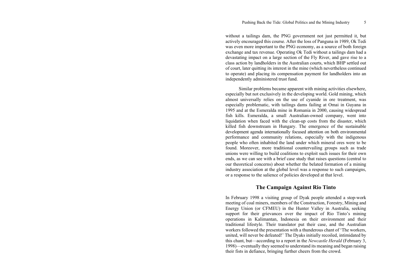without a tailings dam, the PNG government not just permitted it, but actively encouraged this course. After the loss of Panguna in 1989, Ok Tedi was even more important to the PNG economy, as a source of both foreign exchange and tax revenue. Operating Ok Tedi without a tailings dam had a devastating impact on a large section of the Fly River, and gave rise to a class action by landholders in the Australian courts, which BHP settled out of court, later quitting its interest in the mine (which nevertheless continued to operate) and placing its compensation payment for landholders into an independently administered trust fund.

Similar problems became apparent with mining activities elsewhere, especially but not exclusively in the developing world. Gold mining, which almost universally relies on the use of cyanide in ore treatment, was especially problematic, with tailings dams failing at Omai in Guyana in 1995 and at the Esmeralda mine in Romania in 2000, causing widespread fish kills. Esmeralda, a small Australian-owned company, went into liquidation when faced with the clean-up costs from the disaster, which killed fish downstream in Hungary. The emergence of the sustainable development agenda internationally focused attention on both environmental performance and community relations, especially with the indigenous people who often inhabited the land under which mineral ores were to be found. Moreover, more traditional countervailing groups such as trade unions were willing to build coalitions to exploit such issues for their own ends, as we can see with a brief case study that raises questions (central to our theoretical concerns) about whether the belated formation of a mining industry association at the global level was a response to such campaigns, or a response to the salience of policies developed at that level.

# **The Campaign Against Rio Tinto**

In February 1998 a visiting group of Dyak people attended a stop-work meeting of coal miners, members of the Construction, Forestry, Mining and Energy Union (or CFMEU) in the Hunter Valley in Australia, seeking support for their grievances over the impact of Rio Tinto's mining operations in Kalimantan, Indonesia on their environment and their traditional lifestyle. Their translator put their case, and the Australian workers followed the presentation with a thunderous chant of 'The workers, united, will never be defeated!' The Dyaks initially recoiled, intimidated by this chant, but—according to a report in the *Newcastle Herald* (February 3, 1998)—eventually they seemed to understand its meaning and began raising their fists in defiance, bringing further cheers from the crowd.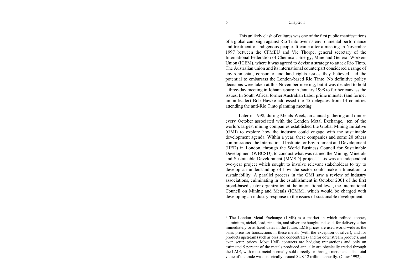This unlikely clash of cultures was one of the first public manifestations of a global campaign against Rio Tinto over its environmental performance and treatment of indigenous people. It came after a meeting in November 1997 between the CFMEU and Vic Thorpe, general secretary of the International Federation of Chemical, Energy, Mine and General Workers Union (ICEM), where it was agreed to devise a strategy to attack Rio Tinto. The Australian union and its international counterpart considered a range of environmental, consumer and land rights issues they believed had the potential to embarrass the London-based Rio Tinto. No definitive policy decisions were taken at this November meeting, but it was decided to hold a three-day meeting in Johannesburg in January 1998 to further canvass the issues. In South Africa, former Australian Labor prime minister (and former union leader) Bob Hawke addressed the 45 delegates from 14 countries attending the anti-Rio Tinto planning meeting.

Later in 1998, during Metals Week, an annual gathering and dinner every October associated with the London Metal Exchange, $\frac{1}{1}$  ten of the world's largest mining companies established the Global Mining Initiative (GMI) to explore how the industry could engage with the sustainable development agenda. Within a year, these companies and some 20 others commissioned the International Institute for Environment and Development (IIED) in London, through the World Business Council for Sustainable Development (WBCSD), to conduct what was named the Mining, Minerals and Sustainable Development (MMSD) project. This was an independent two-year project which sought to involve relevant stakeholders to try to develop an understanding of how the sector could make a transition to sustainability. A parallel process in the GMI saw a review of industry associations, culminating in the establishment in October 2001 of the first broad-based sector organization at the international level, the International Council on Mining and Metals (ICMM), which would be charged with developing an industry response to the issues of sustainable development.

<sup>&</sup>lt;sup>1</sup> The London Metal Exchange (LME) is a market in which refined copper, aluminium, nickel, lead, zinc, tin, and silver are bought and sold, for delivery either immediately or at fixed dates in the future. LME prices are used world-wide as the basis price for transactions in these metals (with the exception of silver), and for products upstream (such as ores and concentrates) and for downstream products, and even scrap prices. Most LME contracts are hedging transactions and only an estimated 5 percent of the metals produced annually are physically traded through the LME, with most metal normally sold directly or through merchants. The total value of the trade was historically around \$US 12 trillion annually. (Clow 1992).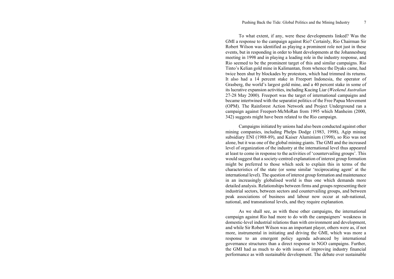To what extent, if any, were these developments linked? Was the GMI a response to the campaign against Rio? Certainly, Rio Chairman Sir Robert Wilson was identified as playing a prominent role not just in these events, but in responding in order to blunt developments at the Johannesburg meeting in 1998 and in playing a leading role in the industry response, and Rio seemed to be the prominent target of this and similar campaigns. Rio Tinto's Kelian gold mine in Kalimantan, from whence the Dyaks came, had twice been shut by blockades by protestors, which had trimmed its returns. It also had a 14 percent stake in Freeport Indonesia, the operator of Grasberg, the world's largest gold mine, and a 40 percent stake in some of its lucrative expansion activities, including Kucing Liar (*Weekend Australian* 27-28 May 2000). Freeport was the target of international campaigns and became intertwined with the separatist politics of the Free Papua Movement (OPM). The Rainforest Action Network and Project Underground ran a campaign against Freeport-McMoRan from 1995 which Manheim (2000, 342) suggests might have been related to the Rio campaign.

Campaigns initiated by unions had also been conducted against other mining companies, including Phelps Dodge (1983, 1998), Agip mining subsidiary ENI (1988-89), and Kaiser Aluminium (1998), so Rio was not alone, but it was one of the global mining giants. The GMI and the increased level of organization of the industry at the international level thus appeared at least to come in response to the activities of 'countervailing groups'. This would suggest that a society-centred explanation of interest group formation might be preferred to those which seek to explain this in terms of the characteristics of the state (or some similar 'reciprocating agent' at the international level). The question of interest group formation and maintenance in an increasingly globalised world is thus one which demands more detailed analysis. Relationships between firms and groups representing their industrial sectors, between sectors and countervailing groups, and between peak associations of business and labour now occur at sub-national, national, and transnational levels, and they require explanation.

As we shall see, as with these other campaigns, the international campaign against Rio had more to do with the campaigners' weakness in domestic-level industrial relations than with environment and development, and while Sir Robert Wilson was an important player, others were as, if not more, instrumental in initiating and driving the GMI, which was more a response to an emergent policy agenda advanced by international governance structures than a direct response to NGO campaigns. Further, the GMI had as much to do with issues of improving industry financial performance as with sustainable development. The debate over sustainable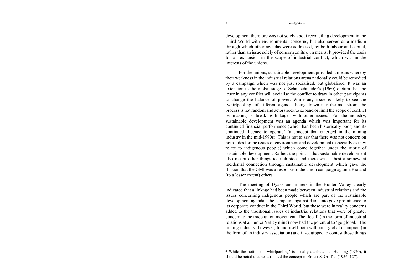development therefore was not solely about reconciling development in the Third World with environmental concerns, but also served as a medium through which other agendas were addressed, by both labour and capital, rather than an issue solely of concern on its own merits. It provided the basis for an expansion in the scope of industrial conflict, which was in the interests of the unions.

For the unions, sustainable development provided a means whereby their weakness in the industrial relations arena nationally could be remedied by a campaign which was not just socialised, but globalised. It was an extension to the global stage of Schattschneider's (1960) dictum that the loser in any conflict will socialise the conflict to draw in other participants to change the balance of power. While any issue is likely to see the 'whirlpooling' of different agendas being drawn into the maelstrom, the process is not random and actors seek to expand or limit the scope of conflict by making or breaking linkages with other issues.<sup>2</sup> For the industry, sustainable development was an agenda which was important for its continued financial performance (which had been historically poor) and its continued 'licence to operate' (a concept that emerged in the mining industry in the mid-1990s). This is not to say that there was not concern on both sides for the issues of environment and development (especially as they relate to indigenous people) which come together under the rubric of sustainable development. Rather, the point is that sustainable development also meant other things to each side, and there was at best a somewhat incidental connection through sustainable development which gave the illusion that the GMI was a response to the union campaign against Rio and (to a lesser extent) others.

The meeting of Dyaks and miners in the Hunter Valley clearly indicated that a linkage had been made between industrial relations and the issues concerning indigenous people which are part of the sustainable development agenda. The campaign against Rio Tinto gave prominence to its corporate conduct in the Third World, but these were in reality concerns added to the traditional issues of industrial relations that were of greater concern to the trade union movement. The 'local' (in the form of industrial relations at a Hunter Valley mine) now had the potential to 'go global.' The mining industry, however, found itself both without a global champion (in the form of an industry association) and ill-equipped to contest those things

<sup>2</sup> While the notion of 'whirlpooling' is usually attributed to Henning (1970), it should be noted that he attributed the concept to Ernest S. Griffith (1956, 127).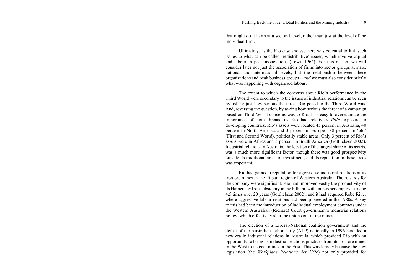that might do it harm at a sectoral level, rather than just at the level of the individual firm.

Ultimately, as the Rio case shows, there was potential to link such issues to what can be called 'redistributive' issues, which involve capital and labour in peak associations (Lowi, 1964). For this reason, we will consider later not just the association of firms into sector groups at state, national and international levels, but the relationship between these organizations and peak business groups—*and* we must also consider briefly what was happening with organised labour.

The extent to which the concerns about Rio's performance in the Third World were secondary to the issues of industrial relations can be seen by asking just how serious the threat Rio posed to the Third World was. And, reversing the question, by asking how serious the threat of a campaign based on Third World concerns was to Rio. It is easy to overestimate the importance of both threats, as Rio had relatively *little* exposure to developing countries. Rio's assets were located 45 percent in Australia, 40 percent in North America and 3 percent in Europe—88 percent in 'old' (First and Second World), politically stable areas. Only 3 percent of Rio's assets were in Africa and 5 percent in South America (Gottliebsen 2002). Industrial relations in Australia, the location of the largest share of its assets, was a much more significant factor, though there was good prospectivity outside its traditional areas of investment, and its reputation in these areas was important.

Rio had gained a reputation for aggressive industrial relations at its iron ore mines in the Pilbara region of Western Australia. The rewards for the company were significant: Rio had improved vastly the productivity of its Hamersley Iron subsidiary in the Pilbara, with tonnes per employee rising 4.5 times over 20 years (Gottliebsen 2002), and it had acquired Robe River where aggressive labour relations had been pioneered in the 1980s. A key to this had been the introduction of individual employment contracts under the Western Australian (Richard) Court government's industrial relations policy, which effectively shut the unions out of the mines.

The election of a Liberal-National coalition government and the defeat of the Australian Labor Party (ALP) nationally in 1996 heralded a new era in industrial relations in Australia, which provided Rio with an opportunity to bring its industrial relations practices from its iron ore mines in the West to its coal mines in the East. This was largely because the new legislation (the *Workplace Relations Act 1996*) not only provided for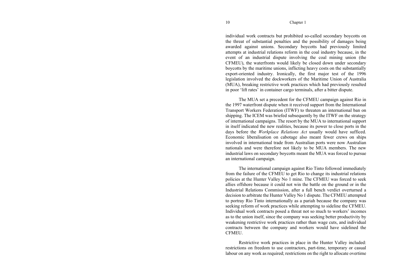individual work contracts but prohibited so-called secondary boycotts on the threat of substantial penalties and the possibility of damages being awarded against unions. Secondary boycotts had previously limited attempts at industrial relations reform in the coal industry because, in the event of an industrial dispute involving the coal mining union (the CFMEU), the waterfronts would likely be closed down under secondary boycotts by the maritime unions, inflicting heavy costs on the substantially export-oriented industry. Ironically, the first major test of the 1996 legislation involved the dockworkers of the Maritime Union of Australia (MUA), breaking restrictive work practices which had previously resulted in poor 'lift rates' in container cargo terminals, after a bitter dispute.

The MUA set a precedent for the CFMEU campaign against Rio in the 1997 waterfront dispute when it received support from the International Transport Workers Federation (ITWF) to threaten an international ban on shipping. The ICEM was briefed subsequently by the ITWF on the strategy of international campaigns. The resort by the MUA to international support in itself indicated the new realities, because its power to close ports in the days before the *Workplace Relations Act* usually would have sufficed. Economic liberalisation on cabotage also meant fewer crews on ships involved in international trade from Australian ports were now Australian nationals and were therefore not likely to be MUA members. The new industrial laws on secondary boycotts meant the MUA was forced to pursue an international campaign.

The international campaign against Rio Tinto followed immediately from the failure of the CFMEU to get Rio to change its industrial relations policies at the Hunter Valley No 1 mine. The CFMEU was forced to seek allies offshore because it could not win the battle on the ground or in the Industrial Relations Commission, after a full bench verdict overturned a decision to arbitrate the Hunter Valley No 1 dispute. The CFMEU attempted to portray Rio Tinto internationally as a pariah because the company was seeking reform of work practices while attempting to sideline the CFMEU. Individual work contracts posed a threat not so much to workers' incomes as to the union itself, since the company was seeking better productivity by weakening restrictive work practices rather than wage cuts, and individual contracts between the company and workers would have sidelined the **CFMEU** 

Restrictive work practices in place in the Hunter Valley included: restrictions on freedom to use contractors, part-time, temporary or casual labour on any work as required; restrictions on the right to allocate overtime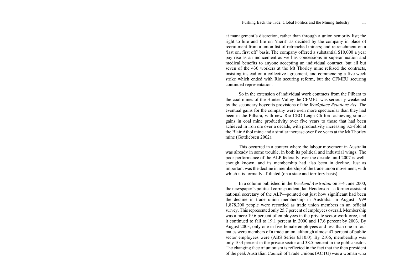at management's discretion, rather than through a union seniority list; the right to hire and fire on 'merit' as decided by the company in place of recruitment from a union list of retrenched miners; and retrenchment on a 'last on, first off' basis. The company offered a substantial \$10,000 a year pay rise as an inducement as well as concessions in superannuation and medical benefits to anyone accepting an individual contract, but all but seven of the 430 workers at the Mt Thorley mine refused the contracts, insisting instead on a collective agreement, and commencing a five week strike which ended with Rio securing reform, but the CFMEU securing continued representation.

So in the extension of individual work contracts from the Pilbara to the coal mines of the Hunter Valley the CFMEU was seriously weakened by the secondary boycotts provisions of the *Workplace Relations Act*. The eventual gains for the company were even more spectacular than they had been in the Pilbara, with new Rio CEO Leigh Clifford achieving similar gains in coal mine productivity over five years to those that had been achieved in iron ore over a decade, with productivity increasing 3.5-fold at the Blair Athol mine and a similar increase over five years at the Mt Thorley mine (Gottliebsen 2002).

This occurred in a context where the labour movement in Australia was already in some trouble, in both its political and industrial wings. The poor performance of the ALP federally over the decade until 2007 is wellenough known, and its membership had also been in decline. Just as important was the decline in membership of the trade union movement, with which it is formally affiliated (on a state and territory basis).

In a column published in the *Weekend Australian* on 3-4 June 2000, the newspaper's political correspondent, Ian Henderson—a former assistant national secretary of the ALP—pointed out just how significant had been the decline in trade union membership in Australia. In August 1999 1,878,200 people were recorded as trade union members in an official survey. This represented only 25.7 percent of employees overall. Membership was a mere 19.6 percent of employees in the private sector workforce, and it continued to fall to 19.1 percent in 2000 and 17.6 percent by 2003. By August 2003, only one in five female employees and less than one in four males were members of a trade union, although almost 47 percent of public sector employees were (ABS Series 6310.0). By 2106, membership was only 10.4 percent in the private sector and 38.5 percent in the public sector. The changing face of unionism is reflected in the fact that the then president of the peak Australian Council of Trade Unions (ACTU) was a woman who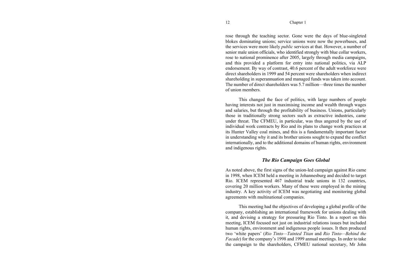rose through the teaching sector. Gone were the days of blue-singleted blokes dominating unions; service unions were now the powerbases, and the services were more likely *public* services at that. However, a number of senior male union officials, who identified strongly with blue collar workers, rose to national prominence after 2005, largely through media campaigns, and this provided a platform for entry into national politics, via ALP endorsement. By way of contrast, 40.6 percent of the adult workforce were direct shareholders in 1999 and 54 percent were shareholders when indirect shareholding in superannuation and managed funds was taken into account. The number of direct shareholders was 5.7 million—three times the number of union members.

This changed the face of politics, with large numbers of people having interests not just in maximising income and wealth through wages and salaries, but through the profitability of business. Unions, particularly those in traditionally strong sectors such as extractive industries, came under threat. The CFMEU, in particular, was thus angered by the use of individual work contracts by Rio and its plans to change work practices at its Hunter Valley coal mines, and this is a fundamentally important factor in understanding why it and its brother unions sought to expand the conflict internationally, and to the additional domains of human rights, environment and indigenous rights.

# *The Rio Campaign Goes Global*

As noted above, the first signs of the union-led campaign against Rio came in 1998, when ICEM held a meeting in Johannesburg and decided to target Rio. ICEM represented 467 industrial trade unions in 132 countries, covering 20 million workers. Many of these were employed in the mining industry. A key activity of ICEM was negotiating and monitoring global agreements with multinational companies.

This meeting had the objectives of developing a global profile of the company, establishing an international framework for unions dealing with it, and devising a strategy for pressuring Rio Tinto. In a report on this meeting, ICEM focused not just on industrial relations issues but included human rights, environment and indigenous people issues. It then produced two 'white papers' (*Rio Tinto—Tainted Titan* and *Rio Tinto—Behind the Facade*) for the company's 1998 and 1999 annual meetings. In order to take the campaign to the shareholders, CFMEU national secretary, Mr John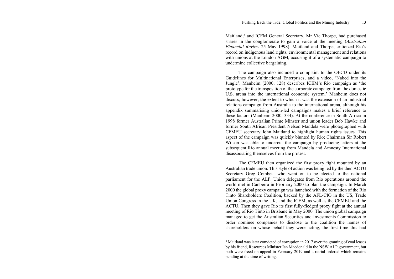Maitland,<sup>3</sup> and ICEM General Secretary, Mr Vic Thorpe, had purchased shares in the conglomerate to gain a voice at the meeting (*Australian Financial Review* 25 May 1998). Maitland and Thorpe, criticized Rio's record on indigenous land rights, environmental management and relations with unions at the London AGM, accusing it of a systematic campaign to undermine collective bargaining.

The campaign also included a complaint to the OECD under its Guidelines for Multinational Enterprises, and a video, 'Naked into the Jungle'. Manheim (2000, 128) describes ICEM's Rio campaign as 'the prototype for the transposition of the corporate campaign from the domestic U.S. arena into the international economic system.' Manheim does not discuss, however, the extent to which it was the extension of an industrial relations campaign from Australia to the international arena, although his appendix summarising union-led campaigns makes a brief reference to these factors (Manheim 2000, 334). At the conference in South Africa in 1998 former Australian Prime Minster and union leader Bob Hawke and former South African President Nelson Mandela were photographed with CFMEU secretary John Maitland to highlight human rights issues. This aspect of the campaign was quickly blunted by Rio; Chairman Sir Robert Wilson was able to undercut the campaign by producing letters at the subsequent Rio annual meeting from Mandela and Amnesty International disassociating themselves from the protest.

The CFMEU then organized the first proxy fight mounted by an Australian trade union. This style of action was being led by the then ACTU Secretary Greg Combet—who went on to be elected to the national parliament for the ALP. Union delegates from Rio operations around the world met in Canberra in February 2000 to plan the campaign. In March 2000 the global proxy campaign was launched with the formation of the Rio Tinto Shareholders Coalition, backed by the AFL-CIO in the US, Trade Union Congress in the UK, and the ICEM, as well as the CFMEU and the ACTU. Then they gave Rio its first fully-fledged proxy fight at the annual meeting of Rio Tinto in Brisbane in May 2000. The union global campaign managed to get the Australian Securities and Investments Commission to order nominee companies to disclose to the coalition the names of shareholders on whose behalf they were acting, the first time this had

<sup>&</sup>lt;sup>3</sup> Maitland was later convicted of corruption in 2017 over the granting of coal leases by his friend, Resources Minister Ian Macdonald in the NSW ALP government, but both were freed on appeal in February 2019 and a retrial ordered which remains pending at the time of writing.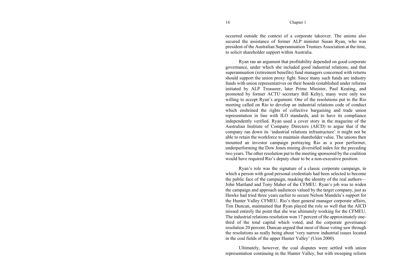occurred outside the context of a corporate takeover. The unions also secured the assistance of former ALP minister Susan Ryan, who was president of the Australian Superannuation Trustees Association at the time, to solicit shareholder support within Australia.

Ryan ran an argument that profitability depended on good corporate governance, under which she included good industrial relations, and that superannuation (retirement benefits) fund managers concerned with returns should support the union proxy fight. Since many such funds are industry funds with union representatives on their boards (established under reforms initiated by ALP Treasurer, later Prime Minister, Paul Keating, and promoted by former ACTU secretary Bill Kelty), many were only too willing to accept Ryan's argument. One of the resolutions put to the Rio meeting called on Rio to develop an industrial relations code of conduct which enshrined the rights of collective bargaining and trade union representation in line with ILO standards, and to have its compliance independently verified. Ryan used a cover story in the magazine of the Australian Institute of Company Directors (AICD) to argue that if the company ran down its 'industrial relations infrastructure' it might not be able to retain the workforce to maintain shareholder value. The unions then mounted an investor campaign portraying Rio as a poor performer, underperforming the Dow Jones mining diversified index for the preceding two years. The other resolution put to the meeting sponsored by the coalition would have required Rio's deputy chair to be a non-executive position.

Ryan's role was the signature of a classic corporate campaign, in which a person with good personal credentials had been selected to become the public face of the campaign, masking the identity of the real authors— John Maitland and Tony Maher of the CFMEU. Ryan's job was to widen the campaign and approach audiences valued by the target company, just as Hawke had tried three years earlier to secure Nelson Mandela's support for the Hunter Valley CFMEU. Rio's then general manager corporate affairs, Tim Duncan, maintained that Ryan played the role so well that the AICD missed entirely the point that she was ultimately working for the CFMEU. The industrial relations resolution won 17 percent of the approximately onethird of the total capital which voted, and the corporate governance resolution 20 percent. Duncan argued that most of those voting saw through the resolutions as really being about 'very narrow industrial issues located in the coal fields of the upper Hunter Valley' (Uren 2000).

Ultimately, however, the coal disputes were settled with union representation continuing in the Hunter Valley, but with sweeping reform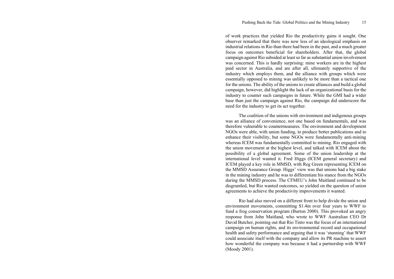of work practices that yielded Rio the productivity gains it sought. One observer remarked that there was now less of an ideological emphasis on industrial relations in Rio than there had been in the past, and a much greater focus on outcomes beneficial for shareholders. After that, the global campaign against Rio subsided at least so far as substantial union involvement was concerned. This is hardly surprising: mine workers are in the highest paid sector in Australia, and are after all, ultimately supportive of the industry which employs them, and the alliance with groups which were essentially opposed to mining was unlikely to be more than a tactical one for the unions. The ability of the unions to create alliances and build a global campaign, however, did highlight the lack of an organizational basis for the industry to counter such campaigns in future. While the GMI had a wider base than just the campaign against Rio, the campaign did underscore the need for the industry to get its act together.

The coalition of the unions with environment and indigenous groups was an alliance of convenience, not one based on fundamentals, and was therefore vulnerable to countermeasures. The environment and development NGOs were able, with union funding, to produce better publications and to enhance their visibility, but some NGOs were fundamentally anti-mining whereas ICEM was fundamentally committed to mining. Rio engaged with the union movement at the highest level, and talked with ICEM about the possibility of a global agreement. Some of the union leadership at the international level wanted it. Fred Higgs (ICEM general secretary) and ICEM played a key role in MMSD, with Reg Green representing ICEM on the MMSD Assurance Group. Higgs' view was that unions had a big stake in the mining industry and he was to differentiate his stance from the NGOs during the MMSD process. The CFMEU's John Maitland continued to be disgruntled, but Rio wanted outcomes, so yielded on the question of union agreements to achieve the productivity improvements it wanted.

Rio had also moved on a different front to help divide the union and environment movements, committing \$1.4m over four years to WWF to fund a frog conservation program (Burton 2000). This provoked an angry response from John Maitland, who wrote to WWF Australian CEO Dr David Butcher, pointing out that Rio Tinto was the focus of an international campaign on human rights, and its environmental record and occupational health and safety performance and arguing that it was 'stunning' that WWF could associate itself with the company and allow its PR machine to assert how wonderful the company was because it had a partnership with WWF (Moody 2001).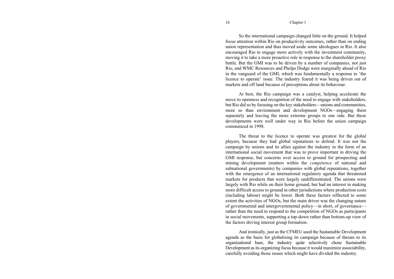So the international campaign changed little on the ground. It helped focus attention within Rio on productivity outcomes, rather than on ending union representation and thus moved aside some ideologues in Rio. It also encouraged Rio to engage more actively with the investment community, moving it to take a more proactive role in response to the shareholder proxy battle. But the GMI was to be driven by a number of companies, not just Rio, and WMC Resources and Phelps Dodge were marginally ahead of Rio in the vanguard of the GMI, which was fundamentally a response to 'the licence to operate' issue. The industry feared it was being driven out of markets and off land because of perceptions about its behaviour.

At best, the Rio campaign was a catalyst, helping accelerate the move to openness and recognition of the need to engage with stakeholders, but Rio did so by focusing on the key stakeholders—unions and communities, more so than environment and development NGOs—engaging them separately and leaving the more extreme groups to one side. But these developments were well under way in Rio before the union campaign commenced in 1998.

The threat to the licence to operate was greatest for the global players, because they had global reputations to defend. It was not the campaign by unions and its allies against the industry in the form of an international social movement that was to prove important in driving the GMI response, but concerns over access to ground for prospecting and mining development (matters within the *compétence* of national and subnational governments) by companies with global reputations, together with the emergence of an international regulatory agenda that threatened markets for products that were largely undifferentiated. The unions were largely with Rio while on their home ground, but had an interest in making more difficult access to ground in other jurisdictions where production costs (including labour) might be lower. Both these factors reflected to some extent the activities of NGOs, but the main driver was the changing nature of governmental and intergovernmental policy—in short, of governance rather than the need to respond to the competition of NGOs as participants in social movements, supporting a top-down rather than bottom-up view of the factors driving interest group formation.

And ironically, just as the CFMEU used the Sustainable Development agenda as the basis for globalising its campaign because of threats to its organizational base, the industry quite selectively chose Sustainable Development as its organizing focus because it would maximize associability, carefully avoiding those issues which might have divided the industry.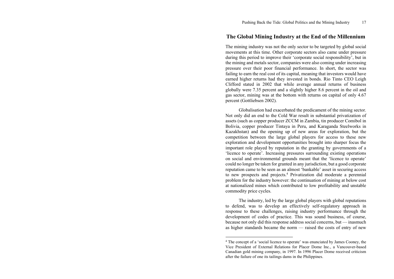# **The Global Mining Industry at the End of the Millennium**

The mining industry was not the only sector to be targeted by global social movements at this time. Other corporate sectors also came under pressure during this period to improve their 'corporate social responsibility', but in the mining and metals sector, companies were also coming under increasing pressure over their poor financial performance. In short, the sector was failing to earn the real cost of its capital, meaning that investors would have earned higher returns had they invested in bonds. Rio Tinto CEO Leigh Clifford stated in 2002 that while average annual returns of business globally were 7.35 percent and a slightly higher 8.6 percent in the oil and gas sector, mining was at the bottom with returns on capital of only 4.67 percent (Gottliebsen 2002).

Globalisation had exacerbated the predicament of the mining sector. Not only did an end to the Cold War result in substantial privatization of assets (such as copper producer ZCCM in Zambia, tin producer Comibol in Bolivia, copper producer Tintaya in Peru, and Karaganda Steelworks in Kazakhstan) and the opening up of new areas for exploration, but the competition between the large global players for access to these new exploration and development opportunities brought into sharper focus the important role played by reputation in the granting by governments of a 'licence to operate'. Increasing pressures surrounding existing operations on social and environmental grounds meant that the 'licence to operate' could no longer be taken for granted in any jurisdiction, but a good corporate reputation came to be seen as an almost 'bankable' asset in securing access to new prospects and projects.4 Privatization did moderate a perennial problem for the industry however: the continuation of mining at below cost at nationalized mines which contributed to low profitability and unstable commodity price cycles.

The industry, led by the large global players with global reputations to defend, was to develop an effectively self-regulatory approach in response to these challenges, raising industry performance through the development of codes of practice. This was sound business, of course, because not only did this response address social concerns, but — inasmuch as higher standards became the norm — raised the costs of entry of new

<sup>&</sup>lt;sup>4</sup> The concept of a 'social licence to operate' was enunciated by James Cooney, the Vice President of External Relations for Placer Dome Inc., a Vancouver-based Canadian gold mining company, in 1997. In 1996 Placer Dome received criticism after the failure of one its tailings dams in the Philippines.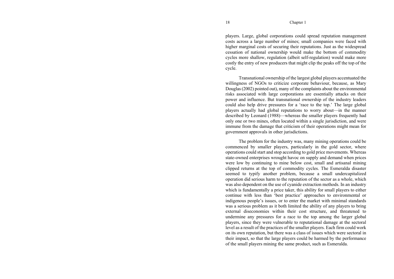players. Large, global corporations could spread reputation management costs across a large number of mines; small companies were faced with higher marginal costs of securing their reputations. Just as the widespread cessation of national ownership would make the bottom of commodity cycles more shallow, regulation (albeit self-regulation) would make more costly the entry of new producers that might clip the peaks off the top of the cycle.

Transnational ownership of the largest global players accentuated the willingness of NGOs to criticize corporate behaviour, because, as Mary Douglas (2002) pointed out), many of the complaints about the environmental risks associated with large corporations are essentially attacks on their power and influence. But transnational ownership of the industry leaders could also help drive pressures for a 'race to the top.' The large global players actually had global reputations to worry about—in the manner described by Leonard (1988)—whereas the smaller players frequently had only one or two mines, often located within a single jurisdiction, and were immune from the damage that criticism of their operations might mean for government approvals in other jurisdictions.

The problem for the industry was, many mining operations could be commenced by smaller players, particularly in the gold sector, where operations could start and stop according to gold price movements. Whereas state-owned enterprises wrought havoc on supply and demand when prices were low by continuing to mine below cost, small and artisanal mining clipped returns at the top of commodity cycles. The Esmeralda disaster seemed to typify another problem, because a small undercapitalized operation did serious harm to the reputation of the sector as a whole, which was also dependent on the use of cyanide extraction methods. In an industry which is fundamentally a price taker, this ability for small players to either continue with less than 'best practice' approaches to environmental or indigenous people's issues, or to enter the market with minimal standards was a serious problem as it both limited the ability of any players to bring external diseconomies within their cost structure, and threatened to undermine any pressures for a race to the top among the larger global players, since they were vulnerable to reputational damage at the sectoral level as a result of the practices of the smaller players. Each firm could work on its own reputation, but there was a class of issues which were sectoral in their impact, so that the large players could be harmed by the performance of the small players mining the same product, such as Esmeralda.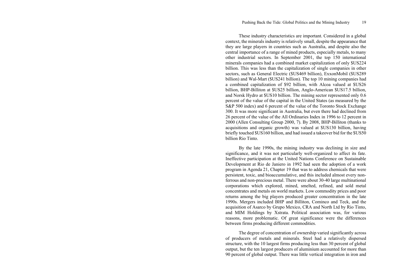These industry characteristics are important. Considered in a global context, the minerals industry is relatively small, despite the appearance that they are large players in countries such as Australia, and despite also the central importance of a range of mined products, especially metals, to many other industrial sectors. In September 2001, the top 150 international minerals companies had a combined market capitalization of only \$US224 billion. This was less than the capitalization of single companies in other sectors, such as General Electric (\$US469 billion), ExxonMobil (\$US289 billion) and Wal-Mart (\$US241 billion). The top 10 mining companies had a combined capitalization of \$92 billion, with Alcoa valued at \$US26 billion, BHP-Billiton at \$US25 billion, Anglo-American \$US17.5 billion, and Norsk Hydro at \$US10 billion. The mining sector represented only 0.6 percent of the value of the capital in the United States (as measured by the S&P 500 index) and 6 percent of the value of the Toronto Stock Exchange 300. It was more significant in Australia, but even there had declined from 26 percent of the value of the All Ordinaries Index in 1996 to 12 percent in 2000 (Allen Consulting Group 2000, 7). By 2008, BHP-Billiton (thanks to acquisitions and organic growth) was valued at \$US130 billion, having briefly touched \$US160 billion, and had issued a takeover bid for the \$US50 billion Rio Tinto.

By the late 1990s, the mining industry was declining in size and significance, and it was not particularly well-organized to affect its fate. Ineffective participation at the United Nations Conference on Sustainable Development at Rio de Janiero in 1992 had seen the adoption of a work program in Agenda 21, Chapter 19 that was to address chemicals that were persistent, toxic, and bioaccumulative, and this included almost every nonferrous and non-precious metal. There were about 30-40 large multinational corporations which explored, mined, smelted, refined, and sold metal concentrates and metals on world markets. Low commodity prices and poor returns among the big players produced greater concentration in the late 1990s. Mergers included BHP and Billiton, Cominco and Teck, and the acquisition of Asarco by Grupo Mexico, CRA and North Ltd by Rio Tinto, and MIM Holdings by Xstrata. Political association was, for various reasons, more problematic. Of great significance were the differences between firms producing different commodities.

The degree of concentration of ownership varied significantly across of producers of metals and minerals. Steel had a relatively dispersed structure, with the 10 largest firms producing less than 30 percent of global output, but the ten largest producers of aluminium accounted for more than 90 percent of global output. There was little vertical integration in iron and